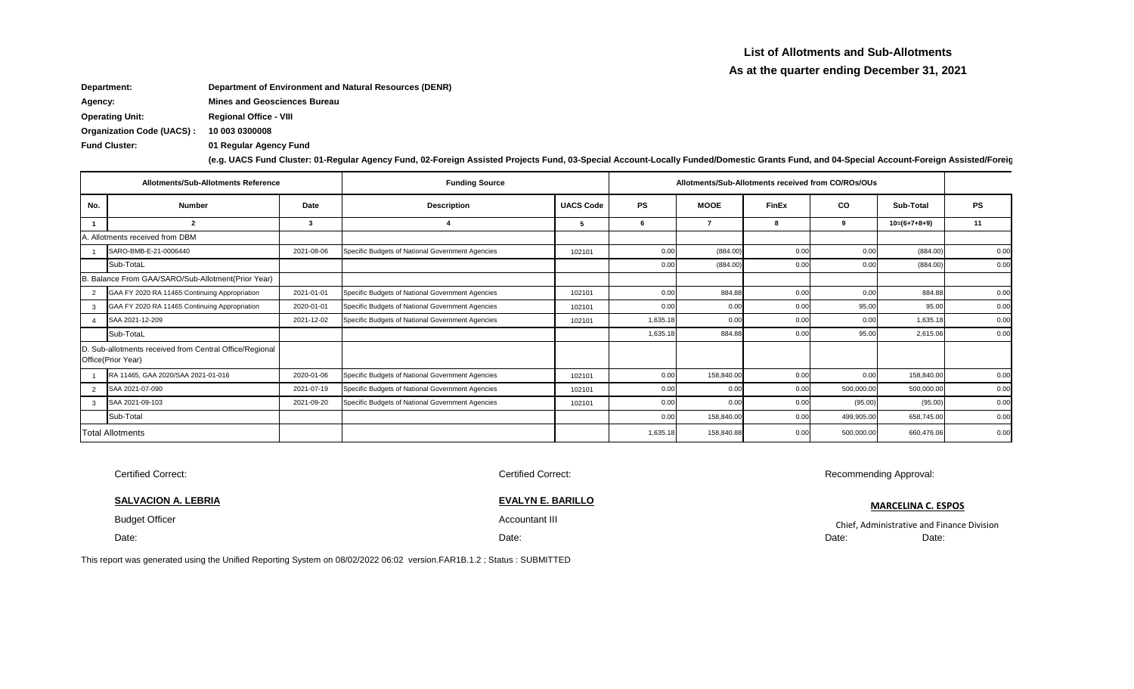**(e.g. UACS Fund Cluster: 01-Regular Agency Fund, 02-Foreign Assisted Projects Fund, 03-Special Account-Locally Funded/Domestic Grants Fund, and 04-Special Account-Foreign Assisted/Foreign Grants Fund)**

**10 003 0300008 Fund Cluster: 01 Regular Agency Fund Department: Department of Environment and Natural Resources (DENR) Agency: Mines and Geosciences Bureau Operating Unit: Regional Office - VIII Organization Code (UACS) :**

|     | <b>Allotments/Sub-Allotments Reference</b>                                    |             | <b>Funding Source</b>                            |                  |           | Allotments/Sub-Allotments received from CO/ROs/OUs |              |             |                |           |
|-----|-------------------------------------------------------------------------------|-------------|--------------------------------------------------|------------------|-----------|----------------------------------------------------|--------------|-------------|----------------|-----------|
| No. | <b>Number</b>                                                                 | <b>Date</b> | <b>Description</b>                               | <b>UACS Code</b> | <b>PS</b> | <b>MOOE</b>                                        | <b>FinEx</b> | $_{\rm CO}$ | Sub-Total      | <b>PS</b> |
|     |                                                                               |             |                                                  | -5               |           |                                                    |              | 9           | $10=(6+7+8+9)$ | 11        |
|     | A. Allotments received from DBM                                               |             |                                                  |                  |           |                                                    |              |             |                |           |
|     | SARO-BMB-E-21-0006440                                                         | 2021-08-06  | Specific Budgets of National Government Agencies | 102101           | 0.00      | (884.00)                                           | 0.00         | 0.00        | (884.00)       | 0.00      |
|     | Sub-TotaL                                                                     |             |                                                  |                  | 0.00      | (884.00)                                           | 0.00         | 0.00        | (884.00)       | 0.00      |
|     | B. Balance From GAA/SARO/Sub-Allotment(Prior Year)                            |             |                                                  |                  |           |                                                    |              |             |                |           |
| 2   | GAA FY 2020 RA 11465 Continuing Appropriation                                 | 2021-01-01  | Specific Budgets of National Government Agencies | 102101           | 0.00      | 884.88                                             | 0.00         | 0.00        | 884.88         | 0.00      |
| 3   | GAA FY 2020 RA 11465 Continuing Appropriation                                 | 2020-01-01  | Specific Budgets of National Government Agencies | 102101           | 0.00      | 0.00                                               | 0.00         | 95.00       | 95.00          | 0.00      |
|     | SAA 2021-12-209                                                               | 2021-12-02  | Specific Budgets of National Government Agencies | 102101           | 1,635.18  | 0.00                                               | 0.00         | 0.00        | 1,635.18       | 0.00      |
|     | Sub-TotaL                                                                     |             |                                                  |                  | 1,635.18  | 884.88                                             | 0.00         | 95.00       | 2,615.06       | 0.00      |
|     | D. Sub-allotments received from Central Office/Regional<br>Office(Prior Year) |             |                                                  |                  |           |                                                    |              |             |                |           |
|     | RA 11465, GAA 2020/SAA 2021-01-016                                            | 2020-01-06  | Specific Budgets of National Government Agencies | 102101           | 0.00      | 158,840.00                                         | 0.00         | 0.00        | 158,840.00     | 0.00      |
| 2   | SAA 2021-07-090                                                               | 2021-07-19  | Specific Budgets of National Government Agencies | 102101           | 0.00      | 0.00                                               | 0.00         | 500,000.00  | 500,000.00     | 0.00      |
| 3   | SAA 2021-09-103                                                               | 2021-09-20  | Specific Budgets of National Government Agencies | 102101           | 0.00      | 0.00                                               | 0.00         | (95.00)     | (95.00)        | 0.00      |
|     | Sub-Total                                                                     |             |                                                  |                  | 0.00      | 158,840.00                                         | 0.00         | 499,905.00  | 658,745.00     | 0.00      |
|     | <b>Total Allotments</b>                                                       |             |                                                  |                  | 1,635.18  | 158,840.88                                         | 0.00         | 500,000.00  | 660,476.06     | 0.00      |

Administrative and Finance Division Date:

| <b>Certified Correct:</b>                                                                                          | <b>Certified Correct:</b> | Recomm |
|--------------------------------------------------------------------------------------------------------------------|---------------------------|--------|
| <b>SALVACION A. LEBRIA</b>                                                                                         | <b>EVALYN E. BARILLO</b>  |        |
| <b>Budget Officer</b>                                                                                              | Accountant III            | Chief, |
| Date:                                                                                                              | Date:                     | Date:  |
| report was generated using the Unified Reporting System on 08/02/2022 06:02 version EAR1R 1.2 · Status · SURMITTED |                           |        |

This report was generated using the Unified Reporting System on 08/02/2022 06:02 version.FAR1B.1.2 ; Status : SUBMITTED

nending Approval:

## **MARCELINA C. ESPOS**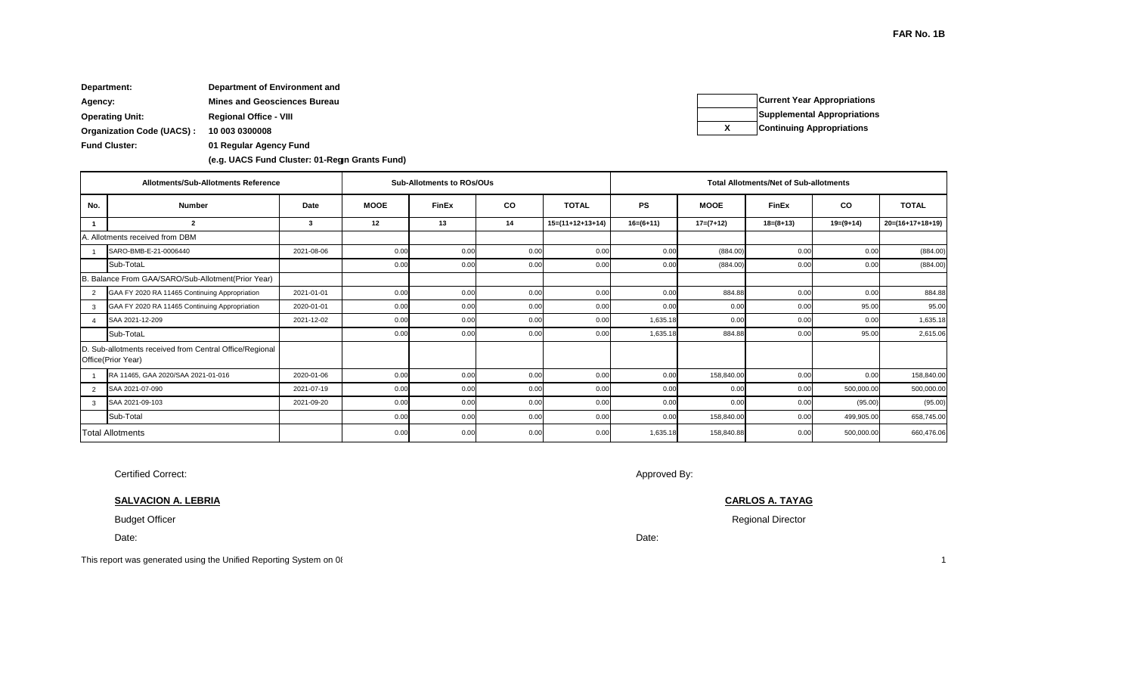Date:

**10 003 0300008 Fund Cluster: 01 Regular Agency Fund (e.g. UACS Fund Cluster: 01-Regular Agency Fund, 02-Foreign Assisted Projects Fund, 03-Special Account-Locally Funded/Domestic Grants Fund, and 04-Special Account-Foreign Assisted/Foreign Grants Fund) (e.g. UACS Fund Cluster: 01-Regular Agency Fund, 02-Foreign Assisted Projects Fund, 03-Special Account-Locally Funded/Domestic Grants Fund, and 04-Special Account-Foreign Assisted/Foreign Grants Fund) Department: Department of Environment and Agency: Mines and Geosciences Bureau Operating Unit: Regional Office - VIII Organization Code (UACS) :**

Budget Officer

Certified Correct:

**SALVACION A. LEBRIA**

Date:

|                | <b>Allotments/Sub-Allotments Reference</b>                                    |             |             | <b>Sub-Allotments to ROs/OUs</b> |           |                    | <b>Total Allotments/Net of Sub-allotments</b> |             |              |             |                    |  |
|----------------|-------------------------------------------------------------------------------|-------------|-------------|----------------------------------|-----------|--------------------|-----------------------------------------------|-------------|--------------|-------------|--------------------|--|
| No.            | <b>Number</b>                                                                 | <b>Date</b> | <b>MOOE</b> | <b>FinEx</b>                     | <b>CO</b> | <b>TOTAL</b>       | <b>PS</b>                                     | <b>MOOE</b> | <b>FinEx</b> | <b>CO</b>   | <b>TOTAL</b>       |  |
|                | $\overline{\mathbf{2}}$                                                       | 3           | 12          | 13                               | 14        | $15=(11+12+13+14)$ | $16= (6+11)$                                  | $17=(7+12)$ | $18=(8+13)$  | $19=(9+14)$ | $20=(16+17+18+19)$ |  |
|                | A. Allotments received from DBM                                               |             |             |                                  |           |                    |                                               |             |              |             |                    |  |
|                | SARO-BMB-E-21-0006440                                                         | 2021-08-06  | 0.00        | 0.00                             | 0.00      | 0.00               | 0.00                                          | (884.00)    | 0.00         | 0.00        | (884.00)           |  |
|                | Sub-TotaL                                                                     |             | 0.00        | 0.00                             | 0.00      | 0.00               | 0.00                                          | (884.00)    | 0.00         | 0.00        | (884.00)           |  |
|                | B. Balance From GAA/SARO/Sub-Allotment(Prior Year)                            |             |             |                                  |           |                    |                                               |             |              |             |                    |  |
| 2              | GAA FY 2020 RA 11465 Continuing Appropriation                                 | 2021-01-01  | 0.00        | 0.00                             | 0.00      | 0.00               | 0.00                                          | 884.88      | 0.00         | 0.00        | 884.88             |  |
| 3              | GAA FY 2020 RA 11465 Continuing Appropriation                                 | 2020-01-01  | 0.00        | 0.00                             | 0.00      | 0.00               | 0.00                                          | 0.00        | 0.00         | 95.00       | 95.00              |  |
| $\overline{a}$ | SAA 2021-12-209                                                               | 2021-12-02  | 0.00        | 0.00                             | 0.00      | 0.00               | 1,635.18                                      | 0.00        | 0.00         | 0.00        | 1,635.18           |  |
|                | Sub-TotaL                                                                     |             | 0.00        | 0.00                             | 0.00      | 0.00               | 1,635.18                                      | 884.88      | 0.00         | 95.00       | 2,615.06           |  |
|                | D. Sub-allotments received from Central Office/Regional<br>Office(Prior Year) |             |             |                                  |           |                    |                                               |             |              |             |                    |  |
|                | RA 11465, GAA 2020/SAA 2021-01-016                                            | 2020-01-06  | 0.00        | 0.00                             | 0.00      | 0.00               | 0.00                                          | 158,840.00  | 0.00         | 0.00        | 158,840.00         |  |
| 2              | SAA 2021-07-090                                                               | 2021-07-19  | 0.00        | 0.00                             | 0.00      | 0.00               | 0.00                                          | 0.00        | 0.00         | 500,000.00  | 500,000.00         |  |
| 3              | SAA 2021-09-103                                                               | 2021-09-20  | 0.00        | 0.00                             | 0.00      | 0.00               | 0.00                                          | 0.00        | 0.00         | (95.00)     | (95.00)            |  |
|                | Sub-Total                                                                     |             | 0.00        | 0.00                             | 0.00      | 0.00               | 0.00                                          | 158,840.00  | 0.00         | 499,905.00  | 658,745.00         |  |
|                | <b>Total Allotments</b>                                                       |             | 0.00        | 0.00                             | 0.00      | 0.00               | 1,635.18                                      | 158,840.88  | 0.00         | 500,000.00  | 660,476.06         |  |

## **FAR No. 1B**

**Current Year Appropriations Supplemental Appropriations X Continuing Appropriations**

This report was generated using the Unified Reporting System on 08/02/2022 06:02 version.FAR1B.1.2 ; Status : SUBMITTED This report was generated using the Unified Reporting System on 08/02/2022 06:02 version.FAR1B.1.2 ; Status : SUBMITTED 1

|      | ub-allotments |                  |
|------|---------------|------------------|
|      | CO            | <b>TOTAL</b>     |
|      | $19= (9+14)$  | 20=(16+17+18+19) |
|      |               |                  |
| 0.00 | 0.00          | (884.00)         |
| 0.00 | 0.00          | (884.00)         |
|      |               |                  |
| 0.00 | 0.00          | 884.88           |
| 0.00 | 95.00         | 95.00            |
| 0.00 | 0.00          | 1,635.18         |
| 0.00 | 95.00         | 2,615.06         |
|      |               |                  |
| 0.00 | 0.00          | 158,840.00       |
| 0.00 | 500,000.00    | 500,000.00       |
| 0.00 | (95.00)       | (95.00)          |
| 0.00 | 499,905.00    | 658,745.00       |
| 0.00 | 500,000.00    | 660,476.06       |

Regional Director

Approved By:

**CARLOS A. TAYAG**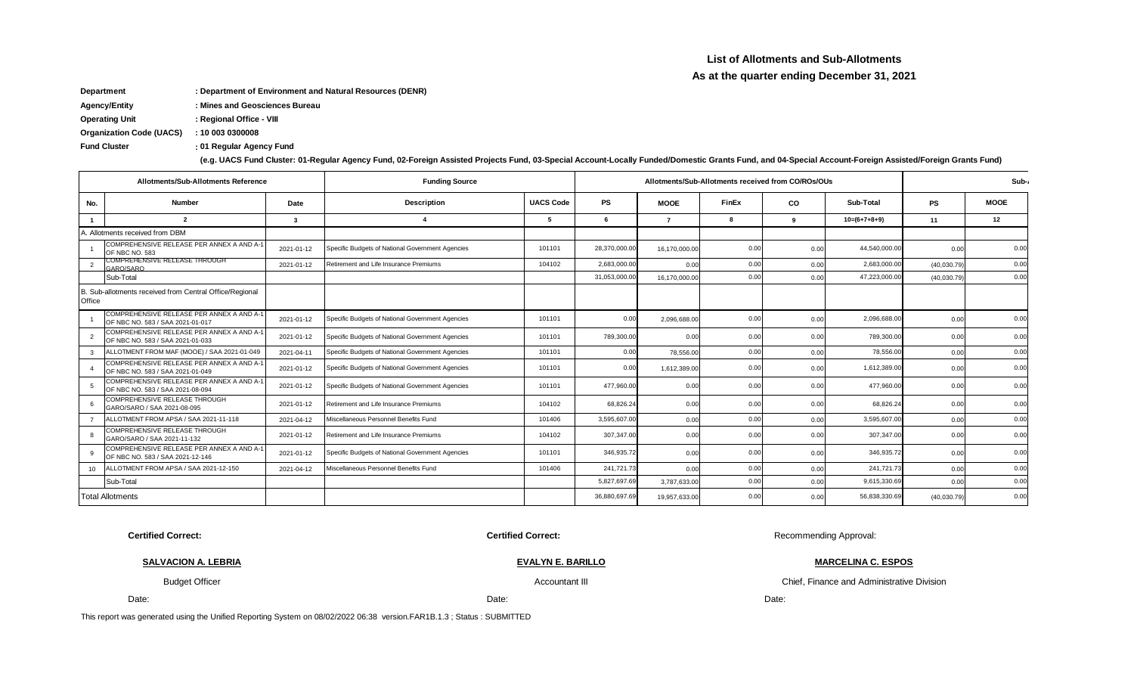### **List of Allotments and Sub-Allotments**

### **As at the quarter ending December 31, 2021**

**Department : Department of Environment and Natural Resources (DENR)**

**Agency/Entity : Mines and Geosciences Bureau**

**Operating Unit : Regional Office - VIII**

**Organization Code (UACS) : 10 003 0300008**

**: Fund Cluster 01 Regular Agency Fund**

| (e.g. UACS Fund Cluster: 01-Regular Agency Fund, 02-Foreign Assisted Projects Fund, 03-Special Account-Locally Funded/Domestic Grants Fund, and 04-Special Account-Foreign Assisted/Foreign Grants Fund) |  |  |  |
|----------------------------------------------------------------------------------------------------------------------------------------------------------------------------------------------------------|--|--|--|
|                                                                                                                                                                                                          |  |  |  |

|        | Allotments/Sub-Allotments Reference                                           |            | <b>Funding Source</b>                            |                  |              | Allotments/Sub-Allotments received from CO/ROs/OUs |       |          |                |             |             |  |
|--------|-------------------------------------------------------------------------------|------------|--------------------------------------------------|------------------|--------------|----------------------------------------------------|-------|----------|----------------|-------------|-------------|--|
| No.    | <b>Number</b>                                                                 | Date       | <b>Description</b>                               | <b>UACS Code</b> | <b>PS</b>    | <b>MOOE</b>                                        | FinEx | CO       | Sub-Total      | <b>PS</b>   | <b>MOOE</b> |  |
|        | $\mathbf{r}$                                                                  |            | $\boldsymbol{\Delta}$                            |                  | 6            |                                                    |       | $\alpha$ | $10=(6+7+8+9)$ | 11          | 12          |  |
|        | . Allotments received from DBM                                                |            |                                                  |                  |              |                                                    |       |          |                |             |             |  |
|        | COMPREHENSIVE RELEASE PER ANNEX A AND A-1<br>OF NBC NO. 583                   | 2021-01-12 | Specific Budgets of National Government Agencies | 101101           | 28,370,000.0 | 16,170,000.0                                       | 0.00  | 0.00     | 44,540,000.00  | 0.00        | 0.00        |  |
|        | COMPREHENSIVE RELEASE IHROUGH<br>GARO/SARO                                    | 2021-01-12 | Retirement and Life Insurance Premiums           | 104102           | 2,683,000.0  | 0.0(                                               | 0.00  | 0.00     | 2,683,000.00   | (40,030.79) | 0.00        |  |
|        | Sub-Total                                                                     |            |                                                  |                  | 31,053,000.0 | 16,170,000.0                                       | 0.00  | 0.00     | 47,223,000.00  | (40,030.79) | 0.00        |  |
| Office | B. Sub-allotments received from Central Office/Regional                       |            |                                                  |                  |              |                                                    |       |          |                |             |             |  |
|        | COMPREHENSIVE RELEASE PER ANNEX A AND A-1<br>OF NBC NO. 583 / SAA 2021-01-017 | 2021-01-12 | Specific Budgets of National Government Agencies | 101101           | 0.00         | 2,096,688.00                                       | 0.00  | 0.00     | 2,096,688.00   | 0.00        | 0.00        |  |
| -2     | COMPREHENSIVE RELEASE PER ANNEX A AND A-1<br>OF NBC NO. 583 / SAA 2021-01-033 | 2021-01-12 | Specific Budgets of National Government Agencies | 101101           | 789,300.00   | 0.00                                               | 0.00  | 0.00     | 789,300.00     | 0.00        | 0.00        |  |
|        | ALLOTMENT FROM MAF (MOOE) / SAA 2021-01-049                                   | 2021-04-11 | Specific Budgets of National Government Agencies | 101101           | 0.00         | 78,556.00                                          | 0.00  | 0.00     | 78,556.00      | 0.00        | 0.00        |  |
|        | COMPREHENSIVE RELEASE PER ANNEX A AND A-1<br>OF NBC NO. 583 / SAA 2021-01-049 | 2021-01-12 | Specific Budgets of National Government Agencies | 101101           | 0.00         | 1,612,389.00                                       | 0.00  | 0.00     | 1,612,389.00   | 0.00        | 0.00        |  |
|        | COMPREHENSIVE RELEASE PER ANNEX A AND A-1<br>OF NBC NO. 583 / SAA 2021-08-094 | 2021-01-12 | Specific Budgets of National Government Agencies | 101101           | 477,960.00   | 0.00                                               | 0.00  | 0.00     | 477,960.00     | 0.00        | 0.00        |  |
|        | COMPREHENSIVE RELEASE THROUGH<br>GARO/SARO / SAA 2021-08-095                  | 2021-01-12 | Retirement and Life Insurance Premiums           | 104102           | 68,826.2     | 0.00                                               | 0.00  | 0.00     | 68,826.24      | 0.00        | 0.00        |  |
|        | ALLOTMENT FROM APSA / SAA 2021-11-118                                         | 2021-04-12 | Miscellaneous Personnel Benefits Fund            | 101406           | 3,595,607.0  | 0.00                                               | 0.00  | 0.00     | 3,595,607.00   | 0.00        | 0.00        |  |
|        | COMPREHENSIVE RELEASE THROUGH<br>GARO/SARO / SAA 2021-11-132                  | 2021-01-12 | Retirement and Life Insurance Premiums           | 104102           | 307,347.0    | 0.00                                               | 0.00  | 0.00     | 307,347.00     | 0.00        | 0.00        |  |
|        | COMPREHENSIVE RELEASE PER ANNEX A AND A-1<br>OF NBC NO. 583 / SAA 2021-12-146 | 2021-01-12 | Specific Budgets of National Government Agencies | 101101           | 346,935.7    | 0.00                                               | 0.00  | 0.00     | 346,935.72     | 0.00        | 0.00        |  |
| 10     | ALLOTMENT FROM APSA / SAA 2021-12-150                                         | 2021-04-12 | Miscellaneous Personnel Benefits Fund            | 101406           | 241,721.7    | 0.00                                               | 0.00  | 0.00     | 241,721.73     | 0.00        | 0.00        |  |
|        | Sub-Total                                                                     |            |                                                  |                  | 5,827,697.6  | 3,787,633.0                                        | 0.00  | 0.00     | 9,615,330.69   | 0.00        | 0.00        |  |
|        | <b>Total Allotments</b>                                                       |            |                                                  |                  | 36,880,697.6 | 19.957.633.00                                      | 0.00  | 0.00     | 56,838,330.69  | (40,030.79) | 0.00        |  |

**Certified Correct:** Recommending Approval: **Certified Correct: Certified Correct:** Recommending Approval:

**SALVACION A. LEBRIA**

**EVALYN E. BARILLO**

Budget Officer

Accountant III

This report was generated using the Unified Reporting System on 08/02/2022 06:38 version.FAR1B.1.3 ; Status : SUBMITTED

Chief, Finance and Administrative Division

**MARCELINA C. ESPOS**

Date: Date: Date: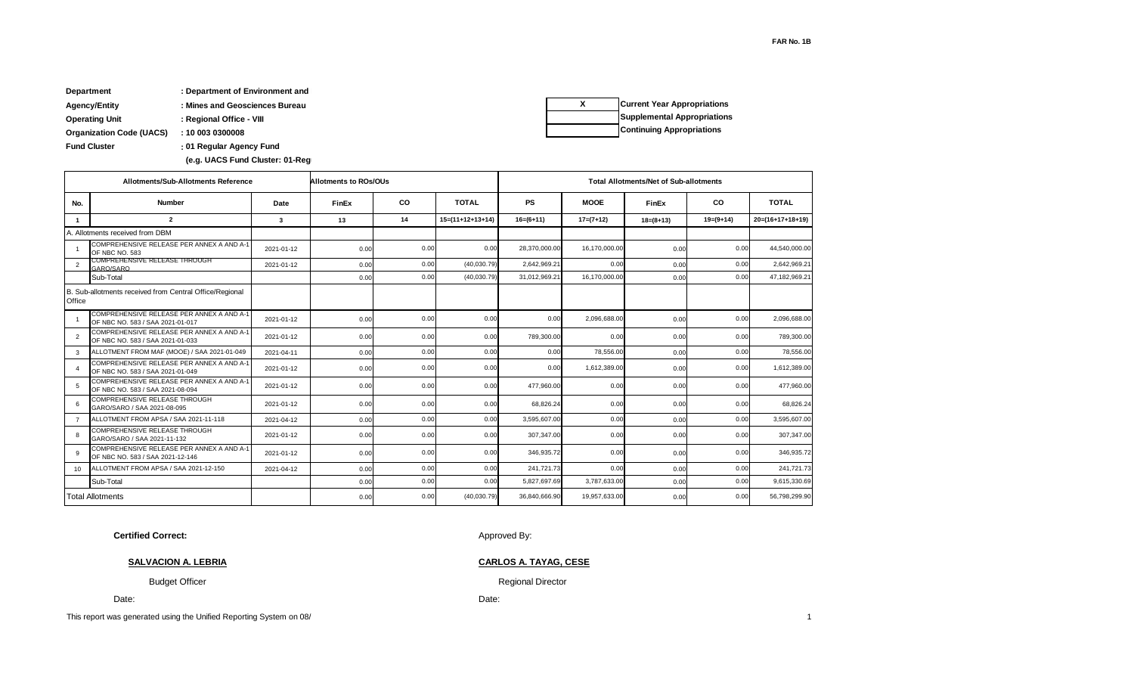**FAR No. 1B**

| <b>Department</b>               | : Department of Environment and |
|---------------------------------|---------------------------------|
| <b>Agency/Entity</b>            | : Mines and Geosciences Bureau  |
| <b>Operating Unit</b>           | : Regional Office - VIII        |
| <b>Organization Code (UACS)</b> | : 10 003 0300008                |
| <b>Fund Cluster</b>             | : 01 Regular Agency Fund        |
|                                 |                                 |

(e.g. UACS Fund Cluster: 01-Reg

|                | Allotments/Sub-Allotments Reference                                           | <b>Allotments to ROs/OUs</b> |       |           |                    | <b>Total Allotments/Net of Sub-allotments</b> |               |             |             |                    |
|----------------|-------------------------------------------------------------------------------|------------------------------|-------|-----------|--------------------|-----------------------------------------------|---------------|-------------|-------------|--------------------|
| No.            | Number                                                                        | Date                         | FinEx | <b>CO</b> | <b>TOTAL</b>       | <b>PS</b>                                     | <b>MOOE</b>   | FinEx       | <b>CO</b>   | <b>TOTAL</b>       |
| -1             | $\overline{2}$                                                                | 3                            | 13    | 14        | $15=(11+12+13+14)$ | $16=(6+11)$                                   | $17=(7+12)$   | $18=(8+13)$ | $19=(9+14)$ | $20=(16+17+18+19)$ |
|                | A. Allotments received from DBM                                               |                              |       |           |                    |                                               |               |             |             |                    |
|                | COMPREHENSIVE RELEASE PER ANNEX A AND A-1<br>OF NBC NO. 583                   | 2021-01-12                   | 0.00  | 0.00      | 0.00               | 28,370,000.00                                 | 16.170.000.00 | 0.00        | 0.00        | 44,540,000.00      |
| $\mathcal{P}$  | COMPREHENSIVE RELEASE IHROUGH<br>GARO/SARO                                    | 2021-01-12                   | 0.00  | 0.00      | (40,030.79)        | 2,642,969.21                                  | 0.00          | 0.00        | 0.00        | 2,642,969.21       |
|                | Sub-Total                                                                     |                              | 0.00  | 0.00      | (40,030.79)        | 31,012,969.21                                 | 16,170,000.00 | 0.00        | 0.00        | 47,182,969.21      |
| Office         | B. Sub-allotments received from Central Office/Regional                       |                              |       |           |                    |                                               |               |             |             |                    |
|                | COMPREHENSIVE RELEASE PER ANNEX A AND A-1<br>OF NBC NO. 583 / SAA 2021-01-017 | 2021-01-12                   | 0.00  | 0.00      | 0.00               | 0.00                                          | 2,096,688.00  | 0.00        | 0.00        | 2,096,688.00       |
| 2              | COMPREHENSIVE RELEASE PER ANNEX A AND A-1<br>OF NBC NO. 583 / SAA 2021-01-033 | 2021-01-12                   | 0.00  | 0.00      | 0.00               | 789,300.00                                    | 0.00          | 0.00        | 0.00        | 789,300.00         |
| 3              | ALLOTMENT FROM MAF (MOOE) / SAA 2021-01-049                                   | 2021-04-11                   | 0.00  | 0.00      | 0.00               | 0.00                                          | 78,556.00     | 0.00        | 0.00        | 78,556.00          |
|                | COMPREHENSIVE RELEASE PER ANNEX A AND A-1<br>OF NBC NO. 583 / SAA 2021-01-049 | 2021-01-12                   | 0.00  | 0.00      | 0.00               | 0.00                                          | 1,612,389.00  | 0.00        | 0.00        | 1,612,389.00       |
| 5              | COMPREHENSIVE RELEASE PER ANNEX A AND A-1<br>OF NBC NO. 583 / SAA 2021-08-094 | 2021-01-12                   | 0.00  | 0.00      | 0.00               | 477,960.00                                    | 0.00          | 0.00        | 0.00        | 477,960.00         |
| 6              | <b>COMPREHENSIVE RELEASE THROUGH</b><br>GARO/SARO / SAA 2021-08-095           | 2021-01-12                   | 0.00  | 0.00      | 0.00               | 68,826.24                                     | 0.00          | 0.00        | 0.00        | 68,826.24          |
| $\overline{7}$ | ALLOTMENT FROM APSA / SAA 2021-11-118                                         | 2021-04-12                   | 0.00  | 0.00      | 0.00               | 3,595,607.00                                  | 0.00          | 0.00        | 0.00        | 3,595,607.00       |
| 8              | <b>COMPREHENSIVE RELEASE THROUGH</b><br>GARO/SARO / SAA 2021-11-132           | 2021-01-12                   | 0.00  | 0.00      | 0.00               | 307.347.00                                    | 0.00          | 0.00        | 0.00        | 307,347.00         |
| 9              | COMPREHENSIVE RELEASE PER ANNEX A AND A-1<br>OF NBC NO. 583 / SAA 2021-12-146 | 2021-01-12                   | 0.00  | 0.00      | 0.00               | 346.935.72                                    | 0.00          | 0.00        | 0.00        | 346.935.72         |
| 10             | ALLOTMENT FROM APSA / SAA 2021-12-150                                         | 2021-04-12                   | 0.00  | 0.00      | 0.00               | 241,721.73                                    | 0.00          | 0.00        | 0.00        | 241,721.73         |
|                | Sub-Total                                                                     |                              | 0.00  | 0.00      | 0.00               | 5,827,697.69                                  | 3,787,633.00  | 0.00        | 0.00        | 9,615,330.69       |
|                | <b>Total Allotments</b>                                                       |                              | 0.00  | 0.00      | (40,030.79)        | 36,840,666.90                                 | 19,957,633.00 | 0.00        | 0.00        | 56,798,299.90      |

**Certified Correct:**

Approved By:

Date:

Regional Director

**CARLOS A. TAYAG, CESE**

**SALVACION A. LEBRIA**

Budget Officer

Date:

This report was generated using the Unified Reporting System on 08/<br>
1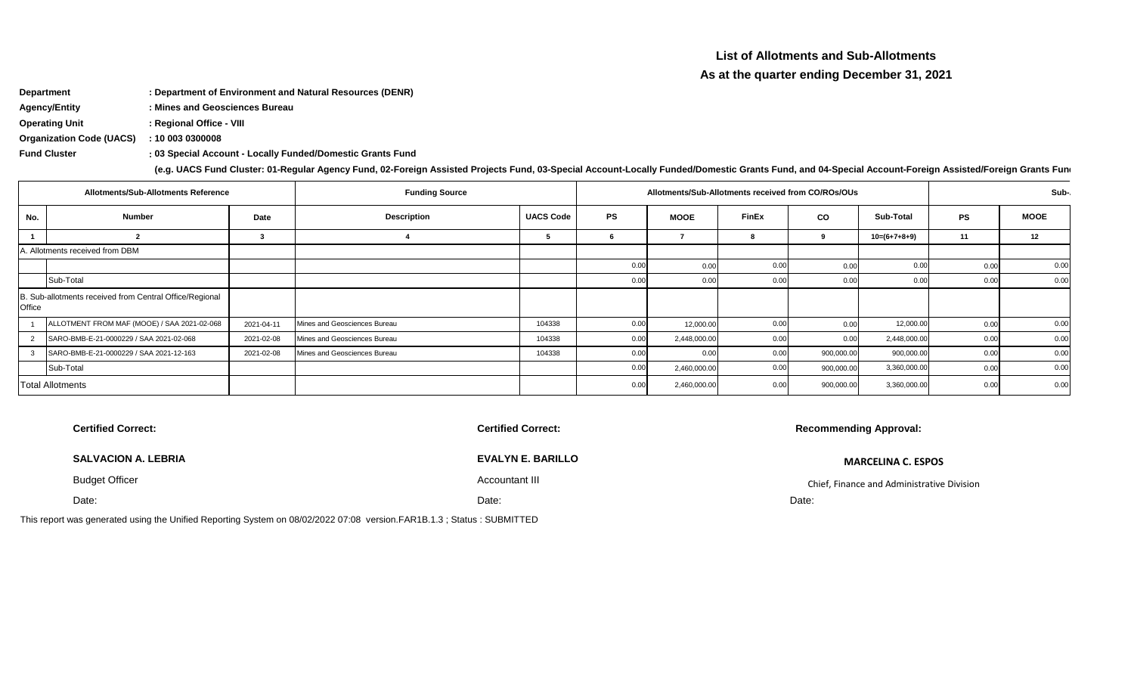# **List of Allotments and Sub-Allotments**

## **As at the quarter ending December 31, 2021**

**Department : Department of Environment and Natural Resources (DENR)**

**Agency/Entity : Mines and Geosciences Bureau**

**Operating Unit : Regional Office - VIII**

**Organization Code (UACS) : 10 003 0300008**

**: Fund Cluster 03 Special Account - Locally Funded/Domestic Grants Fund**

**(e.g. UACS Fund Cluster: 01-Regular Agency Fund, 02-Foreign Assisted Projects Fund, 03-Special Account-Locally Funded/Domestic Grants Fund, and 04-Special Account-Foreign Assisted/Foreign Grants Fund)**

|        | <b>Allotments/Sub-Allotments Reference</b>              |            | <b>Funding Source</b>        |                  |           | Allotments/Sub-Allotments received from CO/ROs/OUs |              |            |                |           | Sub-        |
|--------|---------------------------------------------------------|------------|------------------------------|------------------|-----------|----------------------------------------------------|--------------|------------|----------------|-----------|-------------|
| No.    | <b>Number</b>                                           | Date       | <b>Description</b>           | <b>UACS Code</b> | <b>PS</b> | <b>MOOE</b>                                        | <b>FinEx</b> | co         | Sub-Total      | <b>PS</b> | <b>MOOE</b> |
|        |                                                         |            |                              |                  |           |                                                    |              | 9          | $10=(6+7+8+9)$ | 11        | 12          |
|        | A. Allotments received from DBM                         |            |                              |                  |           |                                                    |              |            |                |           |             |
|        |                                                         |            |                              |                  | 0.0       | 0.00                                               | 0.00         | 0.00       |                | 0.00      | 0.00        |
|        | Sub-Total                                               |            |                              |                  | 0.0       | 0.00                                               | 0.00         | 0.00       |                | 0.00      | 0.00        |
| Office | B. Sub-allotments received from Central Office/Regional |            |                              |                  |           |                                                    |              |            |                |           |             |
|        | ALLOTMENT FROM MAF (MOOE) / SAA 2021-02-068             | 2021-04-11 | Mines and Geosciences Bureau | 104338           | 0.0(      | 12,000.00                                          | 0.00         | 0.00       | 12,000.00      | 0.00      | 0.00        |
|        | SARO-BMB-E-21-0000229 / SAA 2021-02-068                 | 2021-02-08 | Mines and Geosciences Bureau | 104338           | 0.00      | 2,448,000.00                                       | 0.00         | 0.00       | 2,448,000.00   | 0.00      | 0.00        |
|        | SARO-BMB-E-21-0000229 / SAA 2021-12-163                 | 2021-02-08 | Mines and Geosciences Bureau | 104338           | 0.0       | 0 OC                                               | 0.00         | 900,000.00 | 900,000.00     | 0.00      | 0.00        |
|        | Sub-Total                                               |            |                              |                  | 0.00      | 2,460,000.00                                       | 0.00         | 900,000.00 | 3,360,000.00   | 0.00      | 0.00        |
|        | <b>Total Allotments</b>                                 |            |                              |                  | 0.00      | 2,460,000.00                                       | 0.00         | 900,000.00 | 3,360,000.00   | 0.00      | 0.00        |

**Certified Correct: Certified Correct:**

**SALVACION A. LEBRIA EVALYN E. BARILLO**

Date: Date: Date:

This report was generated using the Unified Reporting System on 08/02/2022 07:08 version.FAR1B.1.3 ; Status : SUBMITTED

**Recommending Approval:**

**MARCELINA C. ESPOS**

Budget Officer Accountant III Chief, Finance and Administrative Division